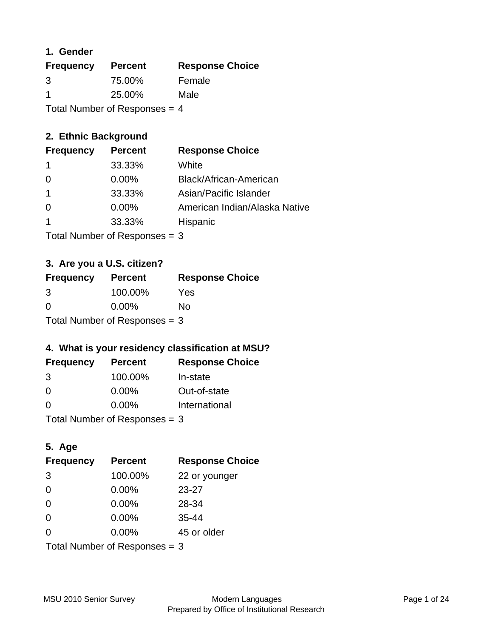### **1. Gender**

| <b>Frequency</b>                | <b>Percent</b> | <b>Response Choice</b> |
|---------------------------------|----------------|------------------------|
| 3                               | 75.00%         | Female                 |
| -1                              | 25.00%         | Male                   |
| Total Number of Responses $=$ 4 |                |                        |

## **2. Ethnic Background**

| <b>Frequency</b> | <b>Percent</b> | <b>Response Choice</b>        |
|------------------|----------------|-------------------------------|
|                  | 33.33%         | White                         |
| 0                | $0.00\%$       | Black/African-American        |
|                  | 33.33%         | Asian/Pacific Islander        |
|                  | 0.00%          | American Indian/Alaska Native |
|                  | 33.33%         | Hispanic                      |
|                  |                |                               |

Total Number of Responses = 3

## **3. Are you a U.S. citizen?**

| <b>Frequency</b> | <b>Percent</b>                  | <b>Response Choice</b> |
|------------------|---------------------------------|------------------------|
| 3                | 100.00%                         | Yes                    |
| $\Omega$         | $0.00\%$                        | No                     |
|                  | Total Number of Responses $=$ 3 |                        |

## **4. What is your residency classification at MSU?**

| <b>Frequency</b> | <b>Percent</b> | <b>Response Choice</b> |
|------------------|----------------|------------------------|
| 3                | 100.00%        | In-state               |
| -0               | $0.00\%$       | Out-of-state           |
| $\Omega$         | $0.00\%$       | International          |
|                  |                |                        |

Total Number of Responses = 3

## **5. Age**

| <b>Frequency</b>              | <b>Percent</b> | <b>Response Choice</b> |
|-------------------------------|----------------|------------------------|
| 3                             | 100.00%        | 22 or younger          |
| 0                             | 0.00%          | $23 - 27$              |
| $\Omega$                      | 0.00%          | 28-34                  |
| $\Omega$                      | 0.00%          | $35 - 44$              |
| $\Omega$                      | $0.00\%$       | 45 or older            |
| Total Number of Responses = 3 |                |                        |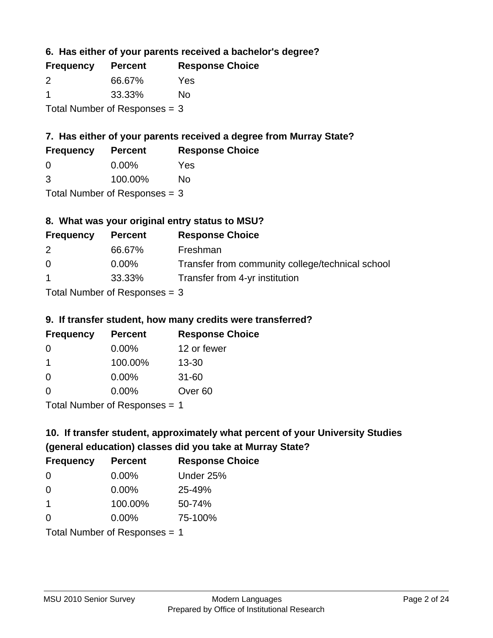**6. Has either of your parents received a bachelor's degree?**

| <b>Frequency</b> | <b>Percent</b>                  | <b>Response Choice</b> |
|------------------|---------------------------------|------------------------|
| 2                | 66.67%                          | Yes                    |
| -1               | 33.33%                          | No                     |
|                  | Total Number of Responses = $3$ |                        |

# **7. Has either of your parents received a degree from Murray State?**

| <b>Frequency</b> | <b>Percent</b> | <b>Response Choice</b> |
|------------------|----------------|------------------------|
| -0               | $0.00\%$       | Yes                    |

| 3 | 100.00% | <b>No</b> |
|---|---------|-----------|
|   |         |           |

Total Number of Responses = 3

## **8. What was your original entry status to MSU?**

| <b>Frequency</b>     | <b>Percent</b>                  | <b>Response Choice</b>                           |
|----------------------|---------------------------------|--------------------------------------------------|
| 2                    | 66.67%                          | Freshman                                         |
| $\Omega$             | $0.00\%$                        | Transfer from community college/technical school |
| $\blacktriangleleft$ | 33.33%                          | Transfer from 4-yr institution                   |
|                      | Total Number of Responses $=$ 3 |                                                  |

### **9. If transfer student, how many credits were transferred?**

| <b>Frequency</b>               | <b>Percent</b> | <b>Response Choice</b> |
|--------------------------------|----------------|------------------------|
| -0                             | $0.00\%$       | 12 or fewer            |
| 1                              | 100.00%        | $13 - 30$              |
| -0                             | $0.00\%$       | $31 - 60$              |
| $\Omega$                       | 0.00%          | Over <sub>60</sub>     |
| $Total Number of DoEROROR = 1$ |                |                        |

Total Number of Responses = 1

# **10. If transfer student, approximately what percent of your University Studies (general education) classes did you take at Murray State?**

| <b>Frequency</b>                | <b>Percent</b> | <b>Response Choice</b> |
|---------------------------------|----------------|------------------------|
| 0                               | $0.00\%$       | Under 25%              |
| $\Omega$                        | $0.00\%$       | 25-49%                 |
| 1                               | 100.00%        | 50-74%                 |
| $\Omega$                        | 0.00%          | 75-100%                |
| Total Number of Responses $= 1$ |                |                        |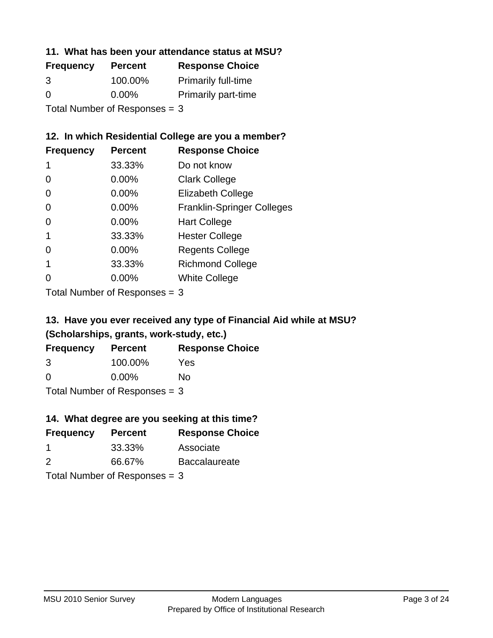#### **11. What has been your attendance status at MSU?**

| <b>Frequency</b> | <b>Percent</b>                | <b>Response Choice</b>     |
|------------------|-------------------------------|----------------------------|
| 3                | 100.00%                       | <b>Primarily full-time</b> |
| $\Omega$         | $0.00\%$                      | <b>Primarily part-time</b> |
|                  | Total Number of Responses = 3 |                            |

### **12. In which Residential College are you a member?**

| <b>Frequency</b> | <b>Percent</b> | <b>Response Choice</b>            |
|------------------|----------------|-----------------------------------|
| 1                | 33.33%         | Do not know                       |
| 0                | 0.00%          | <b>Clark College</b>              |
| 0                | 0.00%          | <b>Elizabeth College</b>          |
| 0                | $0.00\%$       | <b>Franklin-Springer Colleges</b> |
| 0                | $0.00\%$       | <b>Hart College</b>               |
| 1                | 33.33%         | <b>Hester College</b>             |
| 0                | $0.00\%$       | <b>Regents College</b>            |
|                  | 33.33%         | <b>Richmond College</b>           |
|                  | $0.00\%$       | <b>White College</b>              |
|                  |                |                                   |

Total Number of Responses = 3

## **13. Have you ever received any type of Financial Aid while at MSU? (Scholarships, grants, work-study, etc.)**

| <b>Frequency</b>                | <b>Percent</b> | <b>Response Choice</b> |
|---------------------------------|----------------|------------------------|
| 3                               | 100.00%        | Yes                    |
| $\Omega$                        | $0.00\%$       | Nο                     |
| Total Number of Responses $=$ 3 |                |                        |

**14. What degree are you seeking at this time?**

| <b>Frequency</b> | <b>Percent</b>                  | <b>Response Choice</b> |
|------------------|---------------------------------|------------------------|
|                  |                                 |                        |
|                  | 33.33%                          | Associate              |
| 2                | 66.67%                          | <b>Baccalaureate</b>   |
|                  | Total Number of Responses $=$ 3 |                        |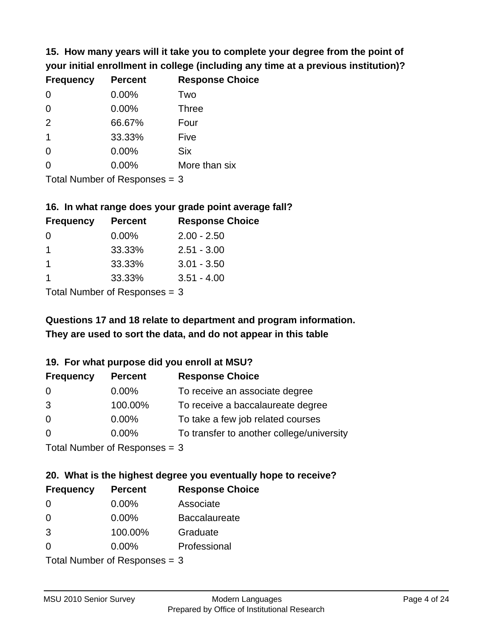**15. How many years will it take you to complete your degree from the point of your initial enrollment in college (including any time at a previous institution)?**

| <b>Frequency</b> | <b>Percent</b> | <b>Response Choice</b> |
|------------------|----------------|------------------------|
| 0                | 0.00%          | Two                    |
| 0                | 0.00%          | <b>Three</b>           |
| 2                | 66.67%         | Four                   |
| $\overline{1}$   | 33.33%         | Five                   |
| 0                | 0.00%          | <b>Six</b>             |
| $\Omega$         | 0.00%          | More than six          |
|                  |                |                        |

Total Number of Responses = 3

#### **16. In what range does your grade point average fall?**

| <b>Frequency</b> | <b>Percent</b> | <b>Response Choice</b> |
|------------------|----------------|------------------------|
| 0                | $0.00\%$       | $2.00 - 2.50$          |
|                  | 33.33%         | $2.51 - 3.00$          |
|                  | 33.33%         | $3.01 - 3.50$          |
|                  | 33.33%         | $3.51 - 4.00$          |
|                  |                |                        |

Total Number of Responses = 3

# **They are used to sort the data, and do not appear in this table Questions 17 and 18 relate to department and program information.**

#### **19. For what purpose did you enroll at MSU?**

| <b>Frequency</b>            | <b>Percent</b> | <b>Response Choice</b>                    |
|-----------------------------|----------------|-------------------------------------------|
| 0                           | $0.00\%$       | To receive an associate degree            |
| 3                           | 100.00%        | To receive a baccalaureate degree         |
| $\overline{0}$              | $0.00\%$       | To take a few job related courses         |
| $\Omega$                    | 0.00%          | To transfer to another college/university |
| Total Number of Despasses 2 |                |                                           |

Total Number of Responses = 3

# **20. What is the highest degree you eventually hope to receive?**

| <b>Frequency</b> | <b>Percent</b>                | <b>Response Choice</b> |
|------------------|-------------------------------|------------------------|
| 0                | $0.00\%$                      | Associate              |
| $\Omega$         | $0.00\%$                      | <b>Baccalaureate</b>   |
| 3                | 100.00%                       | Graduate               |
| 0                | $0.00\%$                      | Professional           |
|                  | $Total Number of Denonce = 2$ |                        |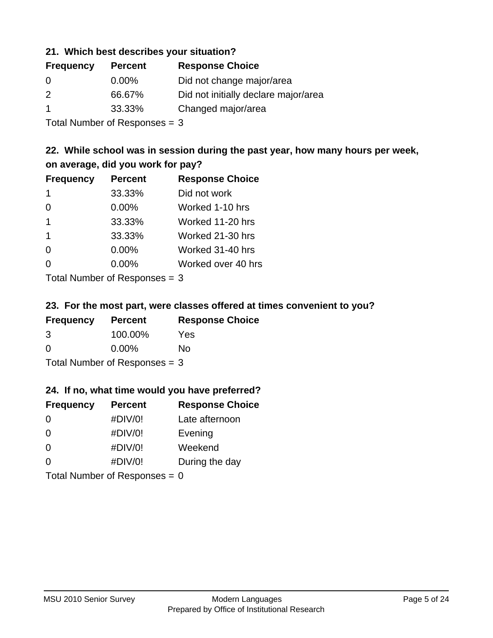#### **21. Which best describes your situation?**

| <b>Frequency</b> | <b>Percent</b> | <b>Response Choice</b>               |
|------------------|----------------|--------------------------------------|
| $\Omega$         | $0.00\%$       | Did not change major/area            |
| 2                | 66.67%         | Did not initially declare major/area |
|                  | 33.33%         | Changed major/area                   |

Total Number of Responses = 3

## **22. While school was in session during the past year, how many hours per week, on average, did you work for pay?**

| <b>Frequency</b>        | <b>Percent</b> | <b>Response Choice</b> |
|-------------------------|----------------|------------------------|
| -1                      | 33.33%         | Did not work           |
| $\Omega$                | 0.00%          | Worked 1-10 hrs        |
| $\mathbf 1$             | 33.33%         | Worked 11-20 hrs       |
| $\overline{\mathbf{1}}$ | 33.33%         | Worked 21-30 hrs       |
| $\Omega$                | 0.00%          | Worked 31-40 hrs       |
| $\Omega$                | 0.00%          | Worked over 40 hrs     |
|                         |                |                        |

Total Number of Responses = 3

#### **23. For the most part, were classes offered at times convenient to you?**

| <b>Frequency</b>                | <b>Percent</b> | <b>Response Choice</b> |
|---------------------------------|----------------|------------------------|
| 3                               | 100.00%        | Yes                    |
| $\Omega$                        | $0.00\%$       | Nο                     |
| Total Number of Responses $=$ 3 |                |                        |

#### **24. If no, what time would you have preferred?**

| <b>Frequency</b> | <b>Percent</b>                  | <b>Response Choice</b> |
|------------------|---------------------------------|------------------------|
| $\Omega$         | #DIV/0!                         | Late afternoon         |
| 0                | #DIV/0!                         | Evening                |
| 0                | #DIV/0!                         | Weekend                |
| $\Omega$         | #DIV/0!                         | During the day         |
|                  | Total Number of Responses = $0$ |                        |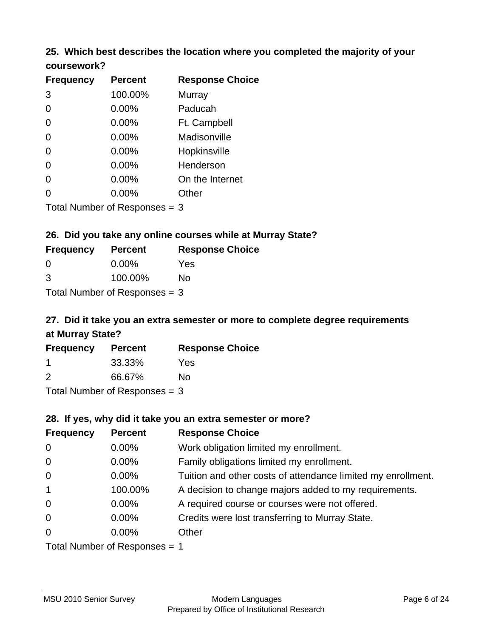#### **25. Which best describes the location where you completed the majority of your coursework?**

| <b>Frequency</b> | <b>Percent</b>             | <b>Response Choice</b> |
|------------------|----------------------------|------------------------|
| 3                | 100.00%                    | <b>Murray</b>          |
| 0                | 0.00%                      | Paducah                |
| $\Omega$         | 0.00%                      | Ft. Campbell           |
| $\overline{0}$   | 0.00%                      | Madisonville           |
| $\overline{0}$   | 0.00%                      | Hopkinsville           |
| 0                | 0.00%                      | Henderson              |
| $\overline{0}$   | 0.00%                      | On the Internet        |
| 0                | 0.00%                      | Other                  |
|                  | Total Number of Deepersoon |                        |

Total Number of Responses = 3

#### **26. Did you take any online courses while at Murray State?**

| <b>Frequency</b>                | <b>Percent</b> | <b>Response Choice</b> |
|---------------------------------|----------------|------------------------|
| -0                              | $0.00\%$       | Yes                    |
| -3                              | 100.00%        | No                     |
| Total Number of Responses $=$ 3 |                |                        |

# **27. Did it take you an extra semester or more to complete degree requirements at Murray State?**

| <b>Frequency</b> | <b>Percent</b>            | <b>Response Choice</b> |
|------------------|---------------------------|------------------------|
|                  | 33.33%                    | Yes                    |
| 2                | 66.67%                    | No                     |
|                  | Total Number of Deepensee |                        |

Total Number of Responses = 3

#### **28. If yes, why did it take you an extra semester or more?**

| <b>Frequency</b> | <b>Percent</b>                  | <b>Response Choice</b>                                       |
|------------------|---------------------------------|--------------------------------------------------------------|
| $\mathbf 0$      | 0.00%                           | Work obligation limited my enrollment.                       |
| $\mathbf 0$      | $0.00\%$                        | Family obligations limited my enrollment.                    |
| $\mathbf 0$      | $0.00\%$                        | Tuition and other costs of attendance limited my enrollment. |
| $\mathbf{1}$     | 100.00%                         | A decision to change majors added to my requirements.        |
| $\mathbf 0$      | $0.00\%$                        | A required course or courses were not offered.               |
| $\mathbf 0$      | $0.00\%$                        | Credits were lost transferring to Murray State.              |
| $\overline{0}$   | $0.00\%$                        | Other                                                        |
|                  | Total Number of Responses $=$ 1 |                                                              |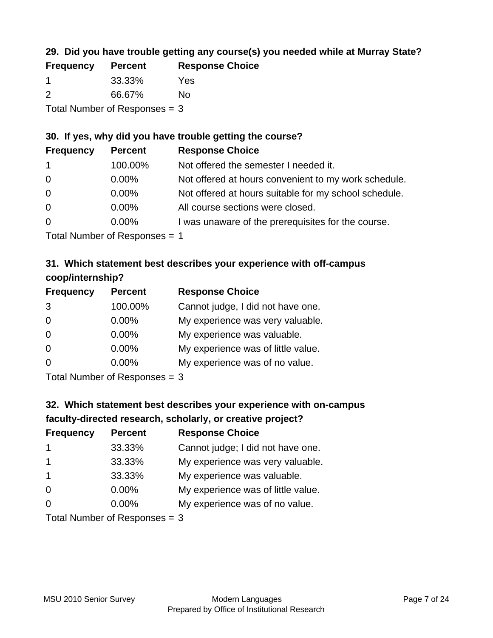## **29. Did you have trouble getting any course(s) you needed while at Murray State?**

| <b>Frequency</b>                | <b>Percent</b> | <b>Response Choice</b> |
|---------------------------------|----------------|------------------------|
|                                 | 33.33%         | Yes                    |
| $\mathcal{P}$                   | 66.67%         | No.                    |
| Total Number of Responses $=$ 3 |                |                        |

## **30. If yes, why did you have trouble getting the course?**

| <b>Frequency</b> | <b>Percent</b> | <b>Response Choice</b>                                |
|------------------|----------------|-------------------------------------------------------|
| $\mathbf{1}$     | 100.00%        | Not offered the semester I needed it.                 |
| $\overline{0}$   | $0.00\%$       | Not offered at hours convenient to my work schedule.  |
| $\overline{0}$   | $0.00\%$       | Not offered at hours suitable for my school schedule. |
| $\overline{0}$   | $0.00\%$       | All course sections were closed.                      |
| $\overline{0}$   | $0.00\%$       | I was unaware of the prerequisites for the course.    |
|                  |                |                                                       |

Total Number of Responses = 1

## **31. Which statement best describes your experience with off-campus coop/internship?**

| <b>Frequency</b> | <b>Percent</b>               | <b>Response Choice</b>             |
|------------------|------------------------------|------------------------------------|
| 3                | 100.00%                      | Cannot judge, I did not have one.  |
| $\Omega$         | 0.00%                        | My experience was very valuable.   |
| $\Omega$         | $0.00\%$                     | My experience was valuable.        |
| $\Omega$         | 0.00%                        | My experience was of little value. |
| $\Omega$         | 0.00%                        | My experience was of no value.     |
|                  | $T$ and Number of Decomposed |                                    |

Total Number of Responses = 3

# **32. Which statement best describes your experience with on-campus faculty-directed research, scholarly, or creative project?**

| <b>Frequency</b>        | <b>Percent</b>             | <b>Response Choice</b>             |
|-------------------------|----------------------------|------------------------------------|
| $\mathbf 1$             | 33.33%                     | Cannot judge; I did not have one.  |
| $\overline{\mathbf{1}}$ | 33.33%                     | My experience was very valuable.   |
| $\mathbf 1$             | 33.33%                     | My experience was valuable.        |
| $\Omega$                | $0.00\%$                   | My experience was of little value. |
| $\Omega$                | $0.00\%$                   | My experience was of no value.     |
|                         | Tatal Number of Desperance |                                    |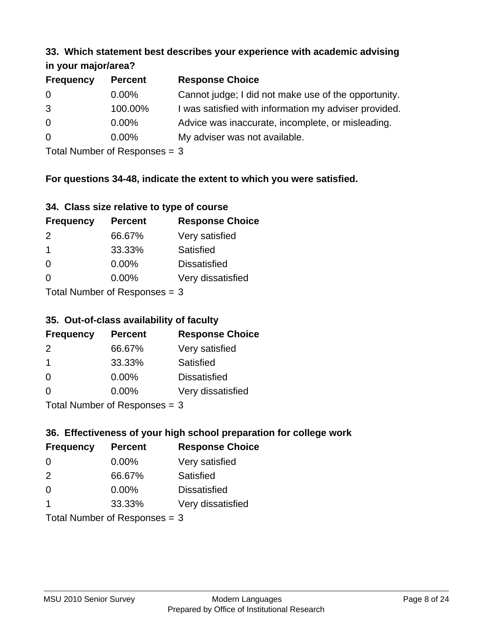#### **33. Which statement best describes your experience with academic advising in your major/area?**

| $\cdots$ your mapproved. |                |                                                       |
|--------------------------|----------------|-------------------------------------------------------|
| <b>Frequency</b>         | <b>Percent</b> | <b>Response Choice</b>                                |
| 0                        | $0.00\%$       | Cannot judge; I did not make use of the opportunity.  |
| 3                        | 100.00%        | I was satisfied with information my adviser provided. |
| $\overline{0}$           | 0.00%          | Advice was inaccurate, incomplete, or misleading.     |
| $\overline{0}$           | $0.00\%$       | My adviser was not available.                         |
|                          |                |                                                       |

Total Number of Responses = 3

## **For questions 34-48, indicate the extent to which you were satisfied.**

| 34. Class size relative to type of course |
|-------------------------------------------|
|-------------------------------------------|

| <b>Frequency</b>               | <b>Percent</b> | <b>Response Choice</b> |  |
|--------------------------------|----------------|------------------------|--|
| 2                              | 66.67%         | Very satisfied         |  |
| -1                             | 33.33%         | Satisfied              |  |
| $\Omega$                       | 0.00%          | <b>Dissatisfied</b>    |  |
| $\Omega$                       | $0.00\%$       | Very dissatisfied      |  |
| Total Number of Reconnege $-2$ |                |                        |  |

Total Number of Responses  $=$  3

## **35. Out-of-class availability of faculty**

| <b>Frequency</b> | <b>Percent</b>            | <b>Response Choice</b> |
|------------------|---------------------------|------------------------|
| $\mathcal{P}$    | 66.67%                    | Very satisfied         |
| -1               | 33.33%                    | Satisfied              |
| $\Omega$         | $0.00\%$                  | <b>Dissatisfied</b>    |
| $\Omega$         | 0.00%                     | Very dissatisfied      |
|                  | Total Number of Deepensee |                        |

Total Number of Responses = 3

## **36. Effectiveness of your high school preparation for college work**

| <b>Frequency</b> | <b>Percent</b>                  | <b>Response Choice</b> |
|------------------|---------------------------------|------------------------|
| $\Omega$         | $0.00\%$                        | Very satisfied         |
| 2                | 66.67%                          | Satisfied              |
| $\Omega$         | $0.00\%$                        | <b>Dissatisfied</b>    |
| -1               | 33.33%                          | Very dissatisfied      |
|                  | Total Number of Responses = $3$ |                        |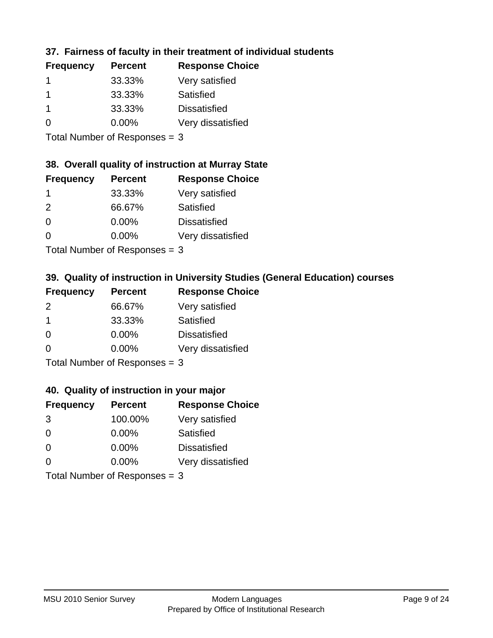## **37. Fairness of faculty in their treatment of individual students**

| <b>Frequency</b> | <b>Percent</b> | <b>Response Choice</b> |
|------------------|----------------|------------------------|
|                  | 33.33%         | Very satisfied         |
|                  | 33.33%         | Satisfied              |
| -1               | 33.33%         | <b>Dissatisfied</b>    |
| $\Omega$         | $0.00\%$       | Very dissatisfied      |
|                  |                |                        |

Total Number of Responses = 3

#### **38. Overall quality of instruction at Murray State**

| <b>Frequency</b> | <b>Percent</b> | <b>Response Choice</b> |
|------------------|----------------|------------------------|
|                  | 33.33%         | Very satisfied         |
| $\mathcal{P}$    | 66.67%         | Satisfied              |
| $\Omega$         | 0.00%          | <b>Dissatisfied</b>    |
| ∩                | 0.00%          | Very dissatisfied      |
|                  |                |                        |

Total Number of Responses  $= 3$ 

## **39. Quality of instruction in University Studies (General Education) courses**

| <b>Frequency</b> | <b>Percent</b>              | <b>Response Choice</b> |
|------------------|-----------------------------|------------------------|
| 2                | 66.67%                      | Very satisfied         |
| -1               | 33.33%                      | Satisfied              |
| $\Omega$         | 0.00%                       | <b>Dissatisfied</b>    |
| $\Omega$         | 0.00%                       | Very dissatisfied      |
|                  | Tatal Manuala and Dannanana |                        |

Total Number of Responses = 3

#### **40. Quality of instruction in your major**

| <b>Frequency</b>                | <b>Percent</b> | <b>Response Choice</b> |
|---------------------------------|----------------|------------------------|
| 3                               | 100.00%        | Very satisfied         |
| $\Omega$                        | $0.00\%$       | <b>Satisfied</b>       |
| $\Omega$                        | 0.00%          | <b>Dissatisfied</b>    |
| $\Omega$                        | 0.00%          | Very dissatisfied      |
| $Total$ Number of Despasses $-$ |                |                        |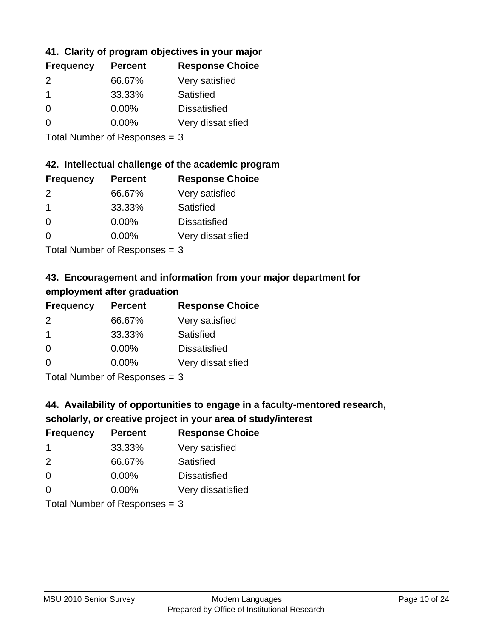## **41. Clarity of program objectives in your major**

| <b>Frequency</b> | <b>Percent</b> | <b>Response Choice</b> |
|------------------|----------------|------------------------|
| $\mathcal{P}$    | 66.67%         | Very satisfied         |
|                  | 33.33%         | Satisfied              |
| $\Omega$         | $0.00\%$       | <b>Dissatisfied</b>    |
| n                | $0.00\%$       | Very dissatisfied      |
|                  |                |                        |

Total Number of Responses = 3

#### **42. Intellectual challenge of the academic program**

| <b>Frequency</b> | <b>Percent</b> | <b>Response Choice</b> |
|------------------|----------------|------------------------|
| $\mathcal{P}$    | 66.67%         | Very satisfied         |
| -1               | 33.33%         | Satisfied              |
| $\Omega$         | 0.00%          | <b>Dissatisfied</b>    |
| ∩                | 0.00%          | Very dissatisfied      |
|                  |                |                        |

Total Number of Responses = 3

## **43. Encouragement and information from your major department for employment after graduation**

| <b>Frequency</b>     | <b>Percent</b> | <b>Response Choice</b> |
|----------------------|----------------|------------------------|
| 2                    | 66.67%         | Very satisfied         |
| $\blacktriangleleft$ | 33.33%         | Satisfied              |
| 0                    | $0.00\%$       | <b>Dissatisfied</b>    |
| $\Omega$             | 0.00%          | Very dissatisfied      |
|                      |                |                        |

Total Number of Responses = 3

## **44. Availability of opportunities to engage in a faculty-mentored research,**

## **scholarly, or creative project in your area of study/interest**

| <b>Frequency</b> | <b>Percent</b> | <b>Response Choice</b> |
|------------------|----------------|------------------------|
|                  | 33.33%         | Very satisfied         |
| $\mathcal{P}$    | 66.67%         | Satisfied              |
| $\Omega$         | 0.00%          | <b>Dissatisfied</b>    |
| $\Omega$         | 0.00%          | Very dissatisfied      |
|                  |                |                        |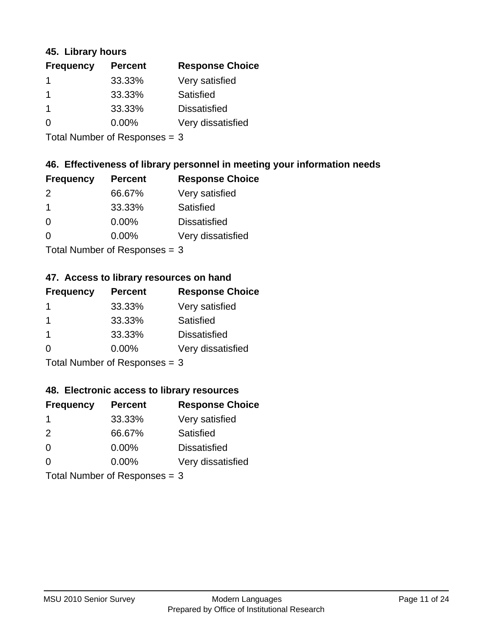#### **45. Library hours**

| <b>Frequency</b> | <b>Percent</b> | <b>Response Choice</b> |
|------------------|----------------|------------------------|
|                  | 33.33%         | Very satisfied         |
| 1                | 33.33%         | Satisfied              |
| $\mathbf 1$      | 33.33%         | <b>Dissatisfied</b>    |
| 0                | $0.00\%$       | Very dissatisfied      |
|                  |                |                        |

Total Number of Responses = 3

#### **46. Effectiveness of library personnel in meeting your information needs**

| <b>Frequency</b> | <b>Percent</b> | <b>Response Choice</b> |
|------------------|----------------|------------------------|
| $\mathcal{P}$    | 66.67%         | Very satisfied         |
|                  | 33.33%         | Satisfied              |
| $\Omega$         | $0.00\%$       | <b>Dissatisfied</b>    |
| ∩                | $0.00\%$       | Very dissatisfied      |
|                  |                |                        |

Total Number of Responses = 3

#### **47. Access to library resources on hand**

| <b>Frequency</b> | <b>Percent</b>                                    | <b>Response Choice</b> |
|------------------|---------------------------------------------------|------------------------|
|                  | 33.33%                                            | Very satisfied         |
|                  | 33.33%                                            | Satisfied              |
| -1               | 33.33%                                            | <b>Dissatisfied</b>    |
| ∩                | 0.00%                                             | Very dissatisfied      |
|                  | $T$ at all Matters because of $D$ and a second of |                        |

Total Number of Responses = 3

#### **48. Electronic access to library resources**

| <b>Frequency</b>              | <b>Percent</b> | <b>Response Choice</b> |
|-------------------------------|----------------|------------------------|
| -1                            | 33.33%         | Very satisfied         |
| 2                             | 66.67%         | Satisfied              |
| $\Omega$                      | $0.00\%$       | <b>Dissatisfied</b>    |
| $\Omega$                      | $0.00\%$       | Very dissatisfied      |
| Total Number of Responses = 3 |                |                        |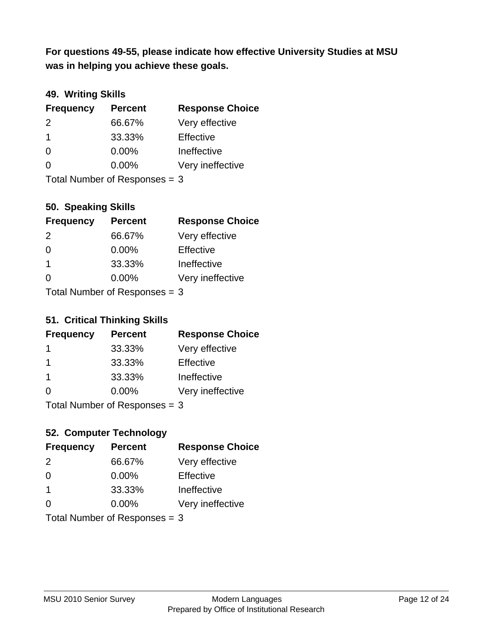**was in helping you achieve these goals. For questions 49-55, please indicate how effective University Studies at MSU** 

## **49. Writing Skills**

| <b>Frequency</b>              | <b>Percent</b> | <b>Response Choice</b> |
|-------------------------------|----------------|------------------------|
| $\mathcal{P}$                 | 66.67%         | Very effective         |
| $\overline{1}$                | 33.33%         | Effective              |
| $\Omega$                      | $0.00\%$       | Ineffective            |
| $\Omega$                      | $0.00\%$       | Very ineffective       |
| Total Number of Responses = 3 |                |                        |

## **50. Speaking Skills**

| <b>Frequency</b> | <b>Percent</b>                  | <b>Response Choice</b> |
|------------------|---------------------------------|------------------------|
| $\mathcal{P}$    | 66.67%                          | Very effective         |
| $\Omega$         | 0.00%                           | Effective              |
| $\mathbf 1$      | 33.33%                          | Ineffective            |
| $\Omega$         | $0.00\%$                        | Very ineffective       |
|                  | Total Number of Responses $=$ 3 |                        |

#### **51. Critical Thinking Skills**

| <b>Frequency</b>              | <b>Percent</b> | <b>Response Choice</b> |
|-------------------------------|----------------|------------------------|
| -1                            | 33.33%         | Very effective         |
| -1                            | 33.33%         | Effective              |
| $\mathbf 1$                   | 33.33%         | Ineffective            |
| $\Omega$                      | $0.00\%$       | Very ineffective       |
| Total Number of Responses = 3 |                |                        |

## **52. Computer Technology**

| <b>Frequency</b>              | <b>Percent</b> | <b>Response Choice</b> |
|-------------------------------|----------------|------------------------|
| 2                             | 66.67%         | Very effective         |
| $\Omega$                      | $0.00\%$       | Effective              |
| $\overline{1}$                | 33.33%         | Ineffective            |
| $\Omega$                      | $0.00\%$       | Very ineffective       |
| Total Number of Responses = 3 |                |                        |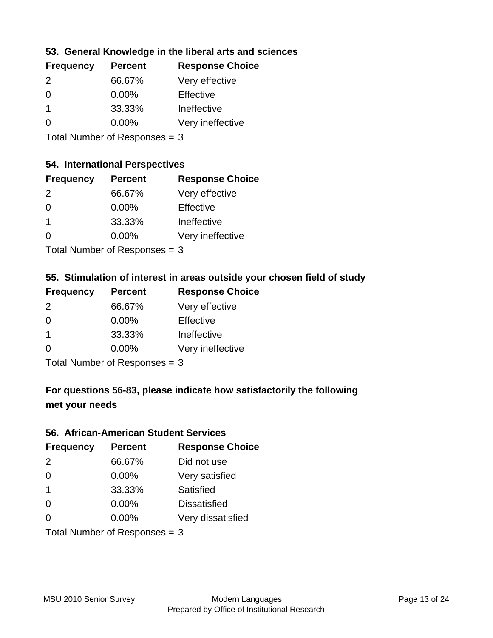## **53. General Knowledge in the liberal arts and sciences**

| <b>Frequency</b> | <b>Percent</b> | <b>Response Choice</b> |
|------------------|----------------|------------------------|
| $\mathcal{P}$    | 66.67%         | Very effective         |
| $\Omega$         | $0.00\%$       | Effective              |
|                  | 33.33%         | Ineffective            |
| $\Omega$         | 0.00%          | Very ineffective       |
|                  |                |                        |

Total Number of Responses = 3

#### **54. International Perspectives**

| <b>Frequency</b> | <b>Percent</b> | <b>Response Choice</b> |
|------------------|----------------|------------------------|
| $\mathcal{P}$    | 66.67%         | Very effective         |
| $\Omega$         | 0.00%          | Effective              |
| 1                | 33.33%         | Ineffective            |
| ∩                | 0.00%          | Very ineffective       |
|                  |                |                        |

Total Number of Responses = 3

## **55. Stimulation of interest in areas outside your chosen field of study**

| <b>Frequency</b> | <b>Percent</b>            | <b>Response Choice</b> |
|------------------|---------------------------|------------------------|
| $\mathcal{P}$    | 66.67%                    | Very effective         |
| $\Omega$         | 0.00%                     | Effective              |
| -1               | 33.33%                    | Ineffective            |
| ∩                | 0.00%                     | Very ineffective       |
|                  | Total Number of Desponses |                        |

I otal Number of Responses  $=$  3

# **For questions 56-83, please indicate how satisfactorily the following met your needs**

#### **56. African-American Student Services**

| <b>Frequency</b> | <b>Percent</b>                  | <b>Response Choice</b> |
|------------------|---------------------------------|------------------------|
| 2                | 66.67%                          | Did not use            |
| $\Omega$         | 0.00%                           | Very satisfied         |
| $\overline{1}$   | 33.33%                          | Satisfied              |
| $\Omega$         | $0.00\%$                        | <b>Dissatisfied</b>    |
| $\Omega$         | 0.00%                           | Very dissatisfied      |
|                  | Total Number of Responses = $3$ |                        |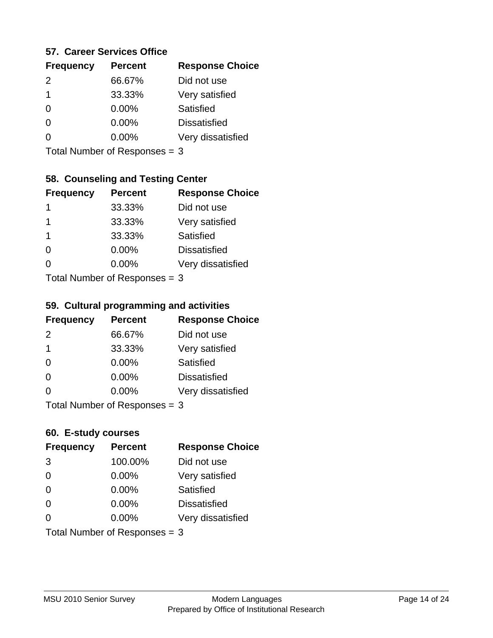#### **57. Career Services Office**

| <b>Frequency</b> | <b>Percent</b> | <b>Response Choice</b> |
|------------------|----------------|------------------------|
| $\mathcal{P}$    | 66.67%         | Did not use            |
| 1                | 33.33%         | Very satisfied         |
| 0                | $0.00\%$       | Satisfied              |
| O                | 0.00%          | <b>Dissatisfied</b>    |
|                  | $0.00\%$       | Very dissatisfied      |
|                  |                |                        |

Total Number of Responses = 3

## **58. Counseling and Testing Center**

| <b>Frequency</b> | <b>Percent</b>            | <b>Response Choice</b> |
|------------------|---------------------------|------------------------|
| 1                | 33.33%                    | Did not use            |
| 1                | 33.33%                    | Very satisfied         |
| 1                | 33.33%                    | <b>Satisfied</b>       |
| 0                | $0.00\%$                  | <b>Dissatisfied</b>    |
| $\Omega$         | $0.00\%$                  | Very dissatisfied      |
|                  | Total Number of Desponses |                        |

Total Number of Responses = 3

#### **59. Cultural programming and activities**

| <b>Frequency</b> | <b>Percent</b>            | <b>Response Choice</b> |
|------------------|---------------------------|------------------------|
| $\mathcal{P}$    | 66.67%                    | Did not use            |
| $\overline{1}$   | 33.33%                    | Very satisfied         |
| $\Omega$         | $0.00\%$                  | <b>Satisfied</b>       |
| $\Omega$         | 0.00%                     | <b>Dissatisfied</b>    |
| $\Omega$         | $0.00\%$                  | Very dissatisfied      |
|                  | Total Number of DoEROR 0. |                        |

Total Number of Responses = 3

#### **60. E-study courses**

| <b>Frequency</b> | <b>Percent</b>                  | <b>Response Choice</b> |
|------------------|---------------------------------|------------------------|
| 3                | 100.00%                         | Did not use            |
| $\Omega$         | 0.00%                           | Very satisfied         |
| $\Omega$         | 0.00%                           | Satisfied              |
| $\Omega$         | $0.00\%$                        | <b>Dissatisfied</b>    |
| $\Omega$         | 0.00%                           | Very dissatisfied      |
|                  | Total Number of Responses = $3$ |                        |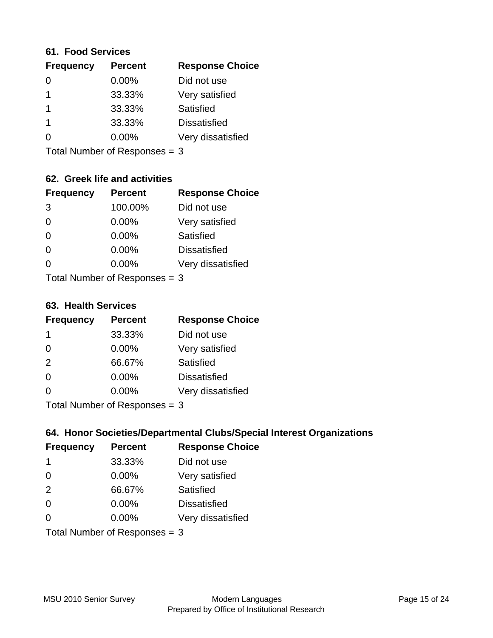#### **61. Food Services**

| <b>Frequency</b> | <b>Percent</b> | <b>Response Choice</b> |
|------------------|----------------|------------------------|
| 0                | 0.00%          | Did not use            |
|                  | 33.33%         | Very satisfied         |
|                  | 33.33%         | Satisfied              |
|                  | 33.33%         | <b>Dissatisfied</b>    |
| O                | 0.00%          | Very dissatisfied      |
|                  |                |                        |

Total Number of Responses = 3

## **62. Greek life and activities**

| <b>Frequency</b> | <b>Percent</b>                  | <b>Response Choice</b> |
|------------------|---------------------------------|------------------------|
| 3                | 100.00%                         | Did not use            |
| 0                | 0.00%                           | Very satisfied         |
| $\Omega$         | 0.00%                           | Satisfied              |
| $\Omega$         | 0.00%                           | <b>Dissatisfied</b>    |
| O                | 0.00%                           | Very dissatisfied      |
|                  | Total Number of Responses $=$ 3 |                        |

**63. Health Services**

| <b>Frequency</b> | <b>Percent</b>            | <b>Response Choice</b> |
|------------------|---------------------------|------------------------|
| -1               | 33.33%                    | Did not use            |
| $\Omega$         | $0.00\%$                  | Very satisfied         |
| 2                | 66.67%                    | Satisfied              |
| $\Omega$         | $0.00\%$                  | <b>Dissatisfied</b>    |
| $\Omega$         | 0.00%                     | Very dissatisfied      |
|                  | Total Number of Desponses |                        |

Total Number of Responses = 3

## **64. Honor Societies/Departmental Clubs/Special Interest Organizations**

| <b>Frequency</b>              | <b>Percent</b> | <b>Response Choice</b> |
|-------------------------------|----------------|------------------------|
| -1                            | 33.33%         | Did not use            |
| $\Omega$                      | $0.00\%$       | Very satisfied         |
| 2                             | 66.67%         | Satisfied              |
| $\Omega$                      | 0.00%          | <b>Dissatisfied</b>    |
| $\Omega$                      | 0.00%          | Very dissatisfied      |
| Total Number of Responses = 3 |                |                        |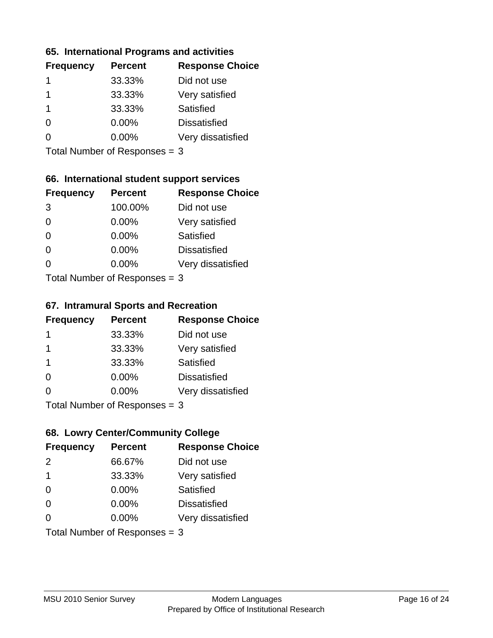#### **65. International Programs and activities**

| <b>Frequency</b> | <b>Percent</b> | <b>Response Choice</b> |
|------------------|----------------|------------------------|
|                  | 33.33%         | Did not use            |
|                  | 33.33%         | Very satisfied         |
|                  | 33.33%         | Satisfied              |
| 0                | $0.00\%$       | <b>Dissatisfied</b>    |
|                  | 0.00%          | Very dissatisfied      |
|                  |                |                        |

Total Number of Responses = 3

## **66. International student support services**

| <b>Frequency</b> | <b>Percent</b>            | <b>Response Choice</b> |
|------------------|---------------------------|------------------------|
| 3                | 100.00%                   | Did not use            |
| $\Omega$         | 0.00%                     | Very satisfied         |
| $\Omega$         | 0.00%                     | Satisfied              |
| $\Omega$         | 0.00%                     | <b>Dissatisfied</b>    |
| 0                | 0.00%                     | Very dissatisfied      |
|                  | Total Number of DoEROR 0. |                        |

Total Number of Responses = 3

#### **67. Intramural Sports and Recreation**

| <b>Frequency</b> | <b>Percent</b>                | <b>Response Choice</b> |
|------------------|-------------------------------|------------------------|
| 1                | 33.33%                        | Did not use            |
| $\mathbf 1$      | 33.33%                        | Very satisfied         |
| -1               | 33.33%                        | <b>Satisfied</b>       |
| $\Omega$         | $0.00\%$                      | <b>Dissatisfied</b>    |
| ∩                | $0.00\%$                      | Very dissatisfied      |
|                  | $Total Number of Denonce = 2$ |                        |

Total Number of Responses = 3

## **68. Lowry Center/Community College**

| <b>Frequency</b> | <b>Percent</b>                | <b>Response Choice</b> |
|------------------|-------------------------------|------------------------|
| 2                | 66.67%                        | Did not use            |
| -1               | 33.33%                        | Very satisfied         |
| $\Omega$         | 0.00%                         | Satisfied              |
| $\Omega$         | 0.00%                         | <b>Dissatisfied</b>    |
| $\Omega$         | $0.00\%$                      | Very dissatisfied      |
|                  | Total Number of Responses = 3 |                        |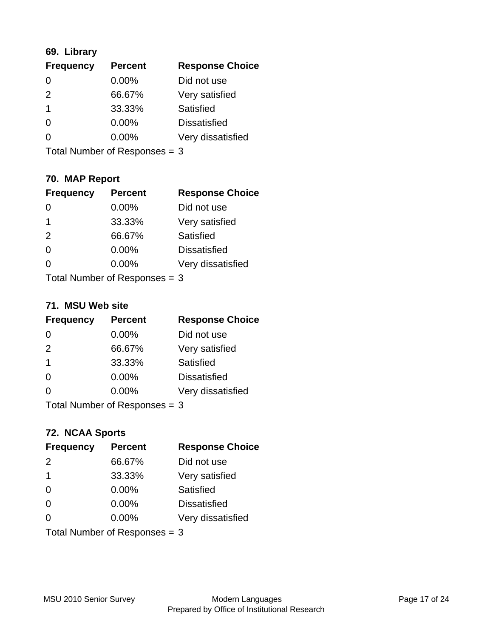## **69. Library**

| <b>Frequency</b> | <b>Percent</b> | <b>Response Choice</b> |
|------------------|----------------|------------------------|
| 0                | 0.00%          | Did not use            |
| $\mathcal{P}$    | 66.67%         | Very satisfied         |
| -1               | 33.33%         | Satisfied              |
| $\Omega$         | $0.00\%$       | <b>Dissatisfied</b>    |
| O                | $0.00\%$       | Very dissatisfied      |
|                  |                |                        |

Total Number of Responses = 3

## **70. MAP Report**

| <b>Frequency</b>                | <b>Percent</b> | <b>Response Choice</b> |
|---------------------------------|----------------|------------------------|
|                                 | $0.00\%$       | Did not use            |
| 1                               | 33.33%         | Very satisfied         |
| 2                               | 66.67%         | <b>Satisfied</b>       |
| $\Omega$                        | $0.00\%$       | <b>Dissatisfied</b>    |
| 0                               | $0.00\%$       | Very dissatisfied      |
| Total Number of Responses $=$ 3 |                |                        |

#### **71. MSU Web site**

| <b>Frequency</b> | <b>Percent</b>                | <b>Response Choice</b> |
|------------------|-------------------------------|------------------------|
| $\Omega$         | $0.00\%$                      | Did not use            |
| 2                | 66.67%                        | Very satisfied         |
| -1               | 33.33%                        | Satisfied              |
| $\Omega$         | 0.00%                         | <b>Dissatisfied</b>    |
| ∩                | 0.00%                         | Very dissatisfied      |
|                  | Total Number of Responses = 3 |                        |

### **72. NCAA Sports**

| <b>Frequency</b>              | <b>Percent</b> | <b>Response Choice</b> |
|-------------------------------|----------------|------------------------|
| $\mathcal{P}$                 | 66.67%         | Did not use            |
| $\mathbf 1$                   | 33.33%         | Very satisfied         |
| $\Omega$                      | 0.00%          | Satisfied              |
| $\Omega$                      | 0.00%          | <b>Dissatisfied</b>    |
| ∩                             | $0.00\%$       | Very dissatisfied      |
| Total Number of Responses = 3 |                |                        |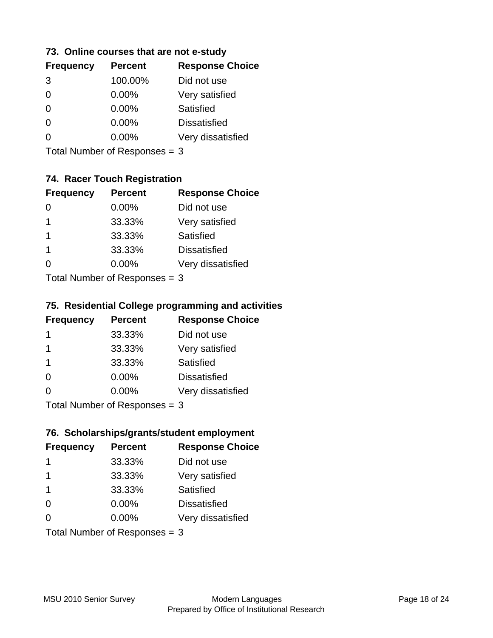#### **73. Online courses that are not e-study**

| <b>Frequency</b> | <b>Percent</b> | <b>Response Choice</b> |
|------------------|----------------|------------------------|
| 3                | 100.00%        | Did not use            |
|                  | 0.00%          | Very satisfied         |
|                  | $0.00\%$       | Satisfied              |
|                  | $0.00\%$       | <b>Dissatisfied</b>    |
|                  | $0.00\%$       | Very dissatisfied      |
|                  |                |                        |

Total Number of Responses = 3

## **74. Racer Touch Registration**

| <b>Frequency</b>          | <b>Percent</b> | <b>Response Choice</b> |
|---------------------------|----------------|------------------------|
| 0                         | $0.00\%$       | Did not use            |
| 1                         | 33.33%         | Very satisfied         |
| 1                         | 33.33%         | <b>Satisfied</b>       |
| 1                         | 33.33%         | <b>Dissatisfied</b>    |
| ∩                         | 0.00%          | Very dissatisfied      |
| Total Number of Desponses |                |                        |

Total Number of Responses = 3

#### **75. Residential College programming and activities**

| <b>Frequency</b> | <b>Percent</b>            | <b>Response Choice</b> |
|------------------|---------------------------|------------------------|
| $\mathbf 1$      | 33.33%                    | Did not use            |
| -1               | 33.33%                    | Very satisfied         |
| -1               | 33.33%                    | Satisfied              |
| $\Omega$         | 0.00%                     | <b>Dissatisfied</b>    |
| $\Omega$         | 0.00%                     | Very dissatisfied      |
|                  | Total Number of DoEROR 0. |                        |

Total Number of Responses = 3

## **76. Scholarships/grants/student employment**

| <b>Frequency</b> | <b>Percent</b>                | <b>Response Choice</b> |
|------------------|-------------------------------|------------------------|
|                  | 33.33%                        | Did not use            |
| -1               | 33.33%                        | Very satisfied         |
| -1               | 33.33%                        | Satisfied              |
| $\Omega$         | 0.00%                         | <b>Dissatisfied</b>    |
| $\Omega$         | $0.00\%$                      | Very dissatisfied      |
|                  | Total Number of Responses = 3 |                        |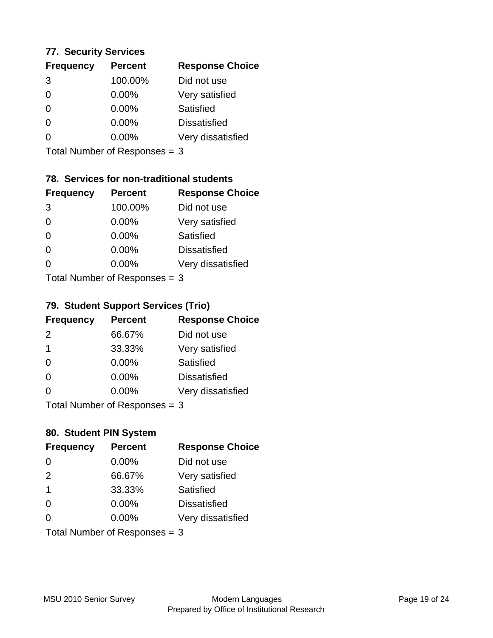#### **77. Security Services**

| <b>Frequency</b> | <b>Percent</b> | <b>Response Choice</b> |
|------------------|----------------|------------------------|
| 3                | 100.00%        | Did not use            |
| $\Omega$         | $0.00\%$       | Very satisfied         |
| $\Omega$         | $0.00\%$       | Satisfied              |
| ∩                | $0.00\%$       | <b>Dissatisfied</b>    |
|                  | $0.00\%$       | Very dissatisfied      |
|                  |                |                        |

Total Number of Responses = 3

## **78. Services for non-traditional students**

| <b>Frequency</b> | <b>Percent</b>            | <b>Response Choice</b> |
|------------------|---------------------------|------------------------|
| 3                | 100.00%                   | Did not use            |
| $\Omega$         | 0.00%                     | Very satisfied         |
| $\Omega$         | $0.00\%$                  | <b>Satisfied</b>       |
| $\Omega$         | 0.00%                     | <b>Dissatisfied</b>    |
| 0                | $0.00\%$                  | Very dissatisfied      |
|                  | Total Number of DoEROR 0. |                        |

Total Number of Responses = 3

#### **79. Student Support Services (Trio)**

| <b>Frequency</b> | <b>Percent</b>            | <b>Response Choice</b> |
|------------------|---------------------------|------------------------|
| $\mathcal{P}$    | 66.67%                    | Did not use            |
| $\mathbf 1$      | 33.33%                    | Very satisfied         |
| $\Omega$         | $0.00\%$                  | Satisfied              |
| $\Omega$         | $0.00\%$                  | <b>Dissatisfied</b>    |
| ∩                | 0.00%                     | Very dissatisfied      |
|                  | Total Number of Desponses |                        |

Total Number of Responses = 3

### **80. Student PIN System**

| <b>Frequency</b>        | <b>Percent</b>                | <b>Response Choice</b> |
|-------------------------|-------------------------------|------------------------|
| 0                       | 0.00%                         | Did not use            |
| 2                       | 66.67%                        | Very satisfied         |
| $\overline{\mathbf{1}}$ | 33.33%                        | Satisfied              |
| $\Omega$                | $0.00\%$                      | <b>Dissatisfied</b>    |
| $\Omega$                | $0.00\%$                      | Very dissatisfied      |
|                         | Total Number of Responses = 3 |                        |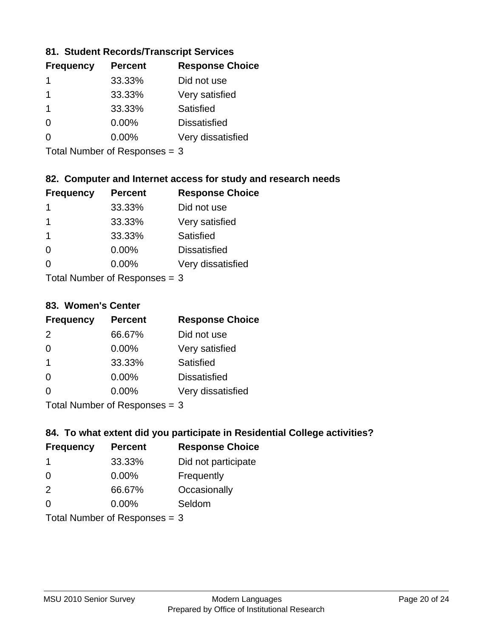### **81. Student Records/Transcript Services**

| <b>Frequency</b> | <b>Percent</b> | <b>Response Choice</b> |
|------------------|----------------|------------------------|
|                  | 33.33%         | Did not use            |
|                  | 33.33%         | Very satisfied         |
|                  | 33.33%         | Satisfied              |
| ∩                | $0.00\%$       | <b>Dissatisfied</b>    |
|                  | $0.00\%$       | Very dissatisfied      |

Total Number of Responses = 3

## **82. Computer and Internet access for study and research needs**

| <b>Frequency</b> | <b>Percent</b>                                     | <b>Response Choice</b> |
|------------------|----------------------------------------------------|------------------------|
| 1                | 33.33%                                             | Did not use            |
| 1                | 33.33%                                             | Very satisfied         |
| $\mathbf 1$      | 33.33%                                             | Satisfied              |
| $\Omega$         | 0.00%                                              | <b>Dissatisfied</b>    |
| $\Omega$         | 0.00%                                              | Very dissatisfied      |
|                  | $\tau$ and $\tau$ and $\tau$ and $\tau$ and $\tau$ |                        |

Total Number of Responses = 3

#### **83. Women's Center**

| <b>Frequency</b> | <b>Percent</b>             | <b>Response Choice</b> |
|------------------|----------------------------|------------------------|
| $\mathcal{P}$    | 66.67%                     | Did not use            |
| $\Omega$         | $0.00\%$                   | Very satisfied         |
| $\mathbf 1$      | 33.33%                     | <b>Satisfied</b>       |
| $\Omega$         | $0.00\%$                   | <b>Dissatisfied</b>    |
| ∩                | 0.00%                      | Very dissatisfied      |
|                  | Total Number of Deepersoon |                        |

Total Number of Responses = 3

### **84. To what extent did you participate in Residential College activities?**

| <b>Frequency</b> | <b>Percent</b>                | <b>Response Choice</b> |
|------------------|-------------------------------|------------------------|
| -1               | 33.33%                        | Did not participate    |
| $\Omega$         | $0.00\%$                      | Frequently             |
| 2                | 66.67%                        | Occasionally           |
| $\Omega$         | $0.00\%$                      | Seldom                 |
|                  | Total Number of Responses = 3 |                        |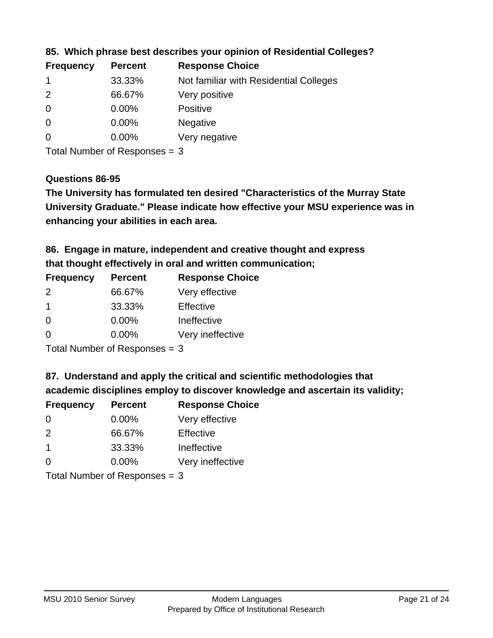| <b>Frequency</b> | <b>Percent</b> | <b>Response Choice</b>                 |
|------------------|----------------|----------------------------------------|
|                  | 33.33%         | Not familiar with Residential Colleges |
| 2                | 66.67%         | Very positive                          |
| -0               | $0.00\%$       | <b>Positive</b>                        |
| $\overline{0}$   | $0.00\%$       | <b>Negative</b>                        |
| 0                | $0.00\%$       | Very negative                          |

**85. Which phrase best describes your opinion of Residential Colleges?**

Total Number of Responses = 3

#### **Questions 86-95**

**University Graduate." Please indicate how effective your MSU experience was in The University has formulated ten desired "Characteristics of the Murray State enhancing your abilities in each area.**

**86. Engage in mature, independent and creative thought and express that thought effectively in oral and written communication;**

| <b>Frequency</b> | <b>Percent</b> | <b>Response Choice</b> |
|------------------|----------------|------------------------|
| $\mathcal{P}$    | 66.67%         | Very effective         |
| -1               | 33.33%         | Effective              |
| $\Omega$         | 0.00%          | Ineffective            |
| $\Omega$         | $0.00\%$       | Very ineffective       |

Total Number of Responses = 3

**87. Understand and apply the critical and scientific methodologies that** 

**academic disciplines employ to discover knowledge and ascertain its validity;**

| <b>Frequency</b> | <b>Percent</b> | <b>Response Choice</b> |
|------------------|----------------|------------------------|
| $\Omega$         | $0.00\%$       | Very effective         |
| 2                | 66.67%         | Effective              |
| $\overline{1}$   | 33.33%         | Ineffective            |
| $\Omega$         | 0.00%          | Very ineffective       |
|                  |                |                        |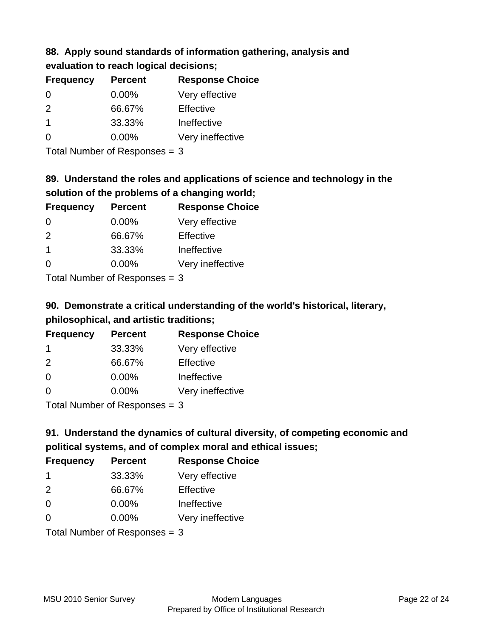# **88. Apply sound standards of information gathering, analysis and evaluation to reach logical decisions;**

| <b>Frequency</b>        | <b>Percent</b> | <b>Response Choice</b> |
|-------------------------|----------------|------------------------|
| $\Omega$                | $0.00\%$       | Very effective         |
| $\mathcal{P}$           | 66.67%         | Effective              |
| $\overline{\mathbf{1}}$ | 33.33%         | Ineffective            |
| $\Omega$                | $0.00\%$       | Very ineffective       |
|                         |                |                        |

Total Number of Responses = 3

# **89. Understand the roles and applications of science and technology in the solution of the problems of a changing world;**

| <b>Frequency</b>                         | <b>Percent</b> | <b>Response Choice</b> |
|------------------------------------------|----------------|------------------------|
| $\Omega$                                 | $0.00\%$       | Very effective         |
| $\mathcal{P}$                            | 66.67%         | Effective              |
| $\mathbf 1$                              | 33.33%         | Ineffective            |
| $\Omega$                                 | 0.00%          | Very ineffective       |
| $T$ at all Message and $D$ are a serious |                |                        |

Total Number of Responses = 3

# **90. Demonstrate a critical understanding of the world's historical, literary, philosophical, and artistic traditions;**

| <b>Frequency</b> | <b>Percent</b> | <b>Response Choice</b> |
|------------------|----------------|------------------------|
| -1               | 33.33%         | Very effective         |
| $\mathcal{P}$    | 66.67%         | Effective              |
| $\Omega$         | 0.00%          | Ineffective            |
| ∩                | 0.00%          | Very ineffective       |
|                  |                |                        |

Total Number of Responses = 3

# **91. Understand the dynamics of cultural diversity, of competing economic and political systems, and of complex moral and ethical issues;**

| <b>Frequency</b>                | <b>Percent</b> | <b>Response Choice</b> |
|---------------------------------|----------------|------------------------|
| -1                              | 33.33%         | Very effective         |
| 2                               | 66.67%         | Effective              |
| $\Omega$                        | 0.00%          | Ineffective            |
| $\Omega$                        | $0.00\%$       | Very ineffective       |
| Total Number of Responses = $3$ |                |                        |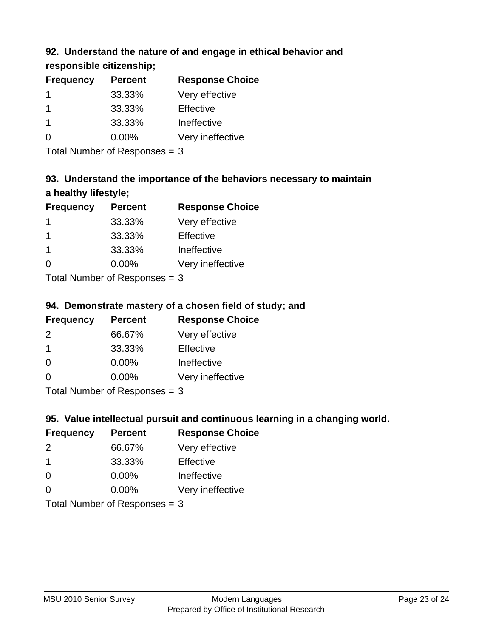## **92. Understand the nature of and engage in ethical behavior and**

**responsible citizenship;**

| <b>Percent</b> | <b>Response Choice</b> |
|----------------|------------------------|
| 33.33%         | Very effective         |
| 33.33%         | Effective              |
| 33.33%         | Ineffective            |
| $0.00\%$       | Very ineffective       |
|                |                        |

Total Number of Responses = 3

# **93. Understand the importance of the behaviors necessary to maintain a healthy lifestyle;**

| <b>Frequency</b>           | <b>Percent</b> | <b>Response Choice</b> |
|----------------------------|----------------|------------------------|
|                            | 33.33%         | Very effective         |
| -1                         | 33.33%         | Effective              |
| $\mathbf 1$                | 33.33%         | Ineffective            |
| $\Omega$                   | 0.00%          | Very ineffective       |
| Total Number of Desperance |                |                        |

Total Number of Responses = 3

## **94. Demonstrate mastery of a chosen field of study; and**

| <b>Frequency</b> | <b>Percent</b> | <b>Response Choice</b> |
|------------------|----------------|------------------------|
| $\mathcal{P}$    | 66.67%         | Very effective         |
|                  | 33.33%         | Effective              |
| $\Omega$         | $0.00\%$       | Ineffective            |
| O                | $0.00\%$       | Very ineffective       |
|                  |                |                        |

Total Number of Responses = 3

## **95. Value intellectual pursuit and continuous learning in a changing world.**

| <b>Frequency</b> | <b>Percent</b> | <b>Response Choice</b> |
|------------------|----------------|------------------------|
| $\mathcal{P}$    | 66.67%         | Very effective         |
| $\overline{1}$   | 33.33%         | Effective              |
| $\Omega$         | 0.00%          | Ineffective            |
| ∩                | 0.00%          | Very ineffective       |
|                  |                |                        |